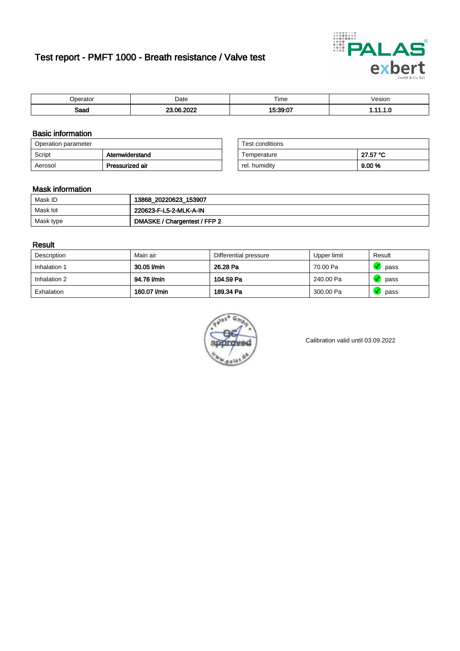# Test report - PMFT 1000 - Breath resistance / Valve test



| maxmax<br>ator | Date       | $- \cdot$<br>Time | esion/ |
|----------------|------------|-------------------|--------|
| Saad           | -----<br>~ | 1.00.07           | .      |

### Basic information

| Operation parameter |                 | Test conditions |          |
|---------------------|-----------------|-----------------|----------|
| Script              | Atemwiderstand  | Temperature     | 27.57 °C |
| Aerosol             | Pressurized air | rel. humidity   | 9.00 %   |

| Test conditions |          |  |
|-----------------|----------|--|
| Temperature     | 27.57 °C |  |
| rel. humidity   | 9.00%    |  |

#### Mask information

| Mask ID   | 13868_20220623_153907        |
|-----------|------------------------------|
| Mask lot  | 220623-F-L5-2-MLK-A-IN       |
| Mask type | DMASKE / Chargentest / FFP 2 |

### Result

| Description  | Main air     | Differential pressure | Upper limit | Result |
|--------------|--------------|-----------------------|-------------|--------|
| Inhalation 1 | 30.05 l/min  | 26.28 Pa              | 70.00 Pa    | pass   |
| Inhalation 2 | 94.76 l/min  | 104.59 Pa             | 240.00 Pa   | pass   |
| Exhalation   | 160.07 l/min | 189.34 Pa             | 300.00 Pa   | pass   |



Calibration valid until 03.09.2022